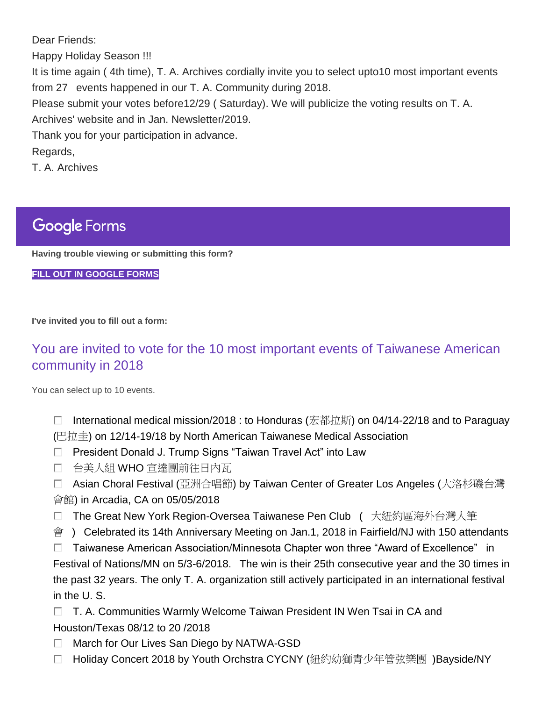Dear Friends:

Happy Holiday Season !!!

It is time again ( 4th time), T. A. Archives cordially invite you to select upto10 most important events from 27 events happened in our T. A. Community during 2018.

Please submit your votes before12/29 ( Saturday). We will publicize the voting results on T. A. Archives' website and in Jan. Newsletter/2019.

Thank you for your participation in advance.

Regards,

T. A. Archives

## **Google Forms**

**Having trouble viewing or submitting this form?**

**[FILL OUT IN GOOGLE FORMS](https://docs.google.com/forms/d/e/1FAIpQLSdiAS1QhrMLaywH2_5vfu0WbOlZI2OGmL_6YOn3-KAxr5-9Sw/viewform?vc=0&c=0&w=1&usp=mail_form_link)**

**I've invited you to fill out a form:**

## [You are invited to vote for the 10 most important events of Taiwanese American](https://docs.google.com/forms/d/e/1FAIpQLSdiAS1QhrMLaywH2_5vfu0WbOlZI2OGmL_6YOn3-KAxr5-9Sw/viewform?vc=0&c=0&w=1&usp=mail_form_link)  [community in 2018](https://docs.google.com/forms/d/e/1FAIpQLSdiAS1QhrMLaywH2_5vfu0WbOlZI2OGmL_6YOn3-KAxr5-9Sw/viewform?vc=0&c=0&w=1&usp=mail_form_link)

You can select up to 10 events.

- П. International medical mission/2018 : to Honduras (宏都拉斯) on 04/14-22/18 and to Paraguay (巴拉圭) on 12/14-19/18 by North American Taiwanese Medical Association
- □ President Donald J. Trump Signs "Taiwan Travel Act" into Law
- 台美人組 WHO 宣達團前往日內瓦
- □ Asian Choral Festival (亞洲合唱節) by Taiwan Center of Greater Los Angeles (大洛杉磯台灣 會館) in Arcadia, CA on 05/05/2018
- □ The Great New York Region-Oversea Taiwanese Pen Club ( 大紐約區海外台灣人筆
- 會 ) Celebrated its 14th Anniversary Meeting on Jan.1, 2018 in Fairfield/NJ with 150 attendants

 $\square$  Taiwanese American Association/Minnesota Chapter won three "Award of Excellence" in Festival of Nations/MN on 5/3-6/2018. The win is their 25th consecutive year and the 30 times in the past 32 years. The only T. A. organization still actively participated in an international festival in the U. S.

- $\Box$  T. A. Communities Warmly Welcome Taiwan President IN Wen Tsai in CA and Houston/Texas 08/12 to 20 /2018
- П. March for Our Lives San Diego by NATWA-GSD
- Holiday Concert 2018 by Youth Orchstra CYCNY (紐約幼獅青少年管弦樂團 )Bayside/NY П.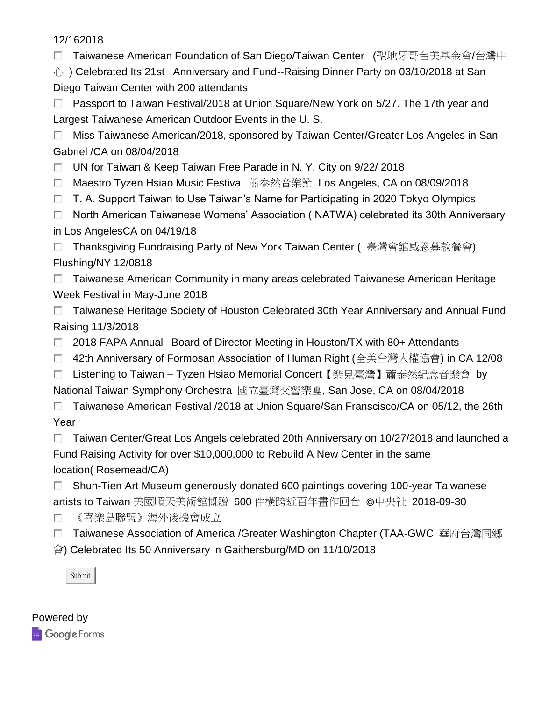| 12/162018                                                                                     |
|-----------------------------------------------------------------------------------------------|
| Taiwanese American Foundation of San Diego/Taiwan Center (聖地牙哥台美基金會/台灣中                       |
| 心) Celebrated Its 21st Anniversary and Fund--Raising Dinner Party on 03/10/2018 at San        |
| Diego Taiwan Center with 200 attendants                                                       |
| Passport to Taiwan Festival/2018 at Union Square/New York on 5/27. The 17th year and<br>Г.    |
| Largest Taiwanese American Outdoor Events in the U.S.                                         |
| Miss Taiwanese American/2018, sponsored by Taiwan Center/Greater Los Angeles in San<br>$\Box$ |
| Gabriel / CA on 08/04/2018                                                                    |
| UN for Taiwan & Keep Taiwan Free Parade in N.Y. City on 9/22/2018<br>П.                       |
| Maestro Tyzen Hsiao Music Festival 蕭泰然音樂節, Los Angeles, CA on 08/09/2018<br>D.                |
| T. A. Support Taiwan to Use Taiwan's Name for Participating in 2020 Tokyo Olympics<br>п       |
| North American Taiwanese Womens' Association (NATWA) celebrated its 30th Anniversary<br>п.    |
| in Los AngelesCA on 04/19/18                                                                  |
| Thanksgiving Fundraising Party of New York Taiwan Center (臺灣會館感恩募款餐會)<br>П                    |
| Flushing/NY 12/0818                                                                           |
| Taiwanese American Community in many areas celebrated Taiwanese American Heritage<br>□        |
| Week Festival in May-June 2018                                                                |
| Taiwanese Heritage Society of Houston Celebrated 30th Year Anniversary and Annual Fund<br>П.  |
| Raising 11/3/2018                                                                             |
| 2018 FAPA Annual Board of Director Meeting in Houston/TX with 80+ Attendants<br>o             |
| 42th Anniversary of Formosan Association of Human Right (全美台灣人權協會) in CA 12/08<br>п           |
| Listening to Taiwan – Tyzen Hsiao Memorial Concert【樂見臺灣】蕭泰然紀念音樂會 by<br>П.                     |

National Taiwan Symphony Orchestra 國立臺灣交響樂團, San Jose, CA on 08/04/2018

□ Taiwanese American Festival /2018 at Union Square/San Franscisco/CA on 05/12, the 26th Year

□ Taiwan Center/Great Los Angels celebrated 20th Anniversary on 10/27/2018 and launched a Fund Raising Activity for over \$10,000,000 to Rebuild A New Center in the same location( Rosemead/CA)

 $\Box$ Shun-Tien Art Museum generously donated 600 paintings covering 100-year Taiwanese artists to Taiwan 美國順天美術館慨贈 600 件橫跨近百年畫作回台 ◎中央社 2018-09-30

 $\Box$ 《喜樂島聯盟》海外後援會成立

□ Taiwanese Association of America /Greater Washington Chapter (TAA-GWC 華府台灣同鄉

會) Celebrated Its 50 Anniversary in Gaithersburg/MD on 11/10/2018

Submit

| Powered by   |  |
|--------------|--|
| Google Forms |  |